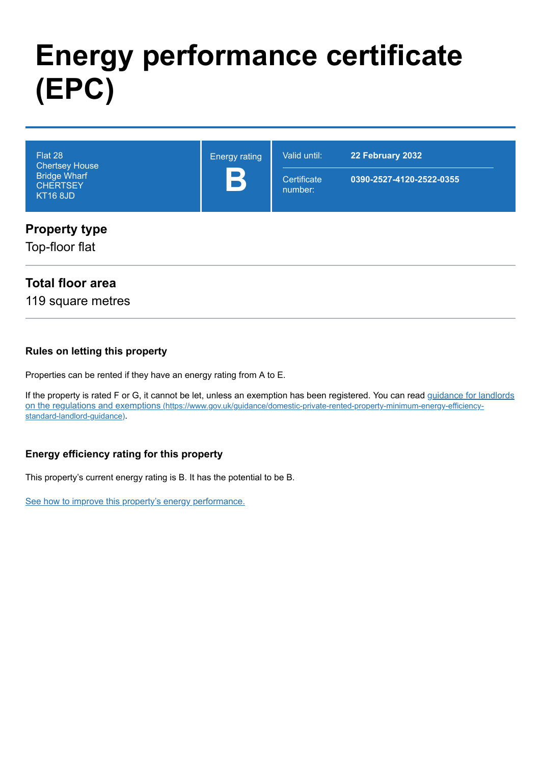# **Energy performance certificate (EPC)**

| Flat 28<br><b>Chertsey House</b>                          | <b>Energy rating</b><br>B | Valid until:           | 22 February 2032         |  |
|-----------------------------------------------------------|---------------------------|------------------------|--------------------------|--|
| <b>Bridge Wharf</b><br><b>CHERTSEY</b><br><b>KT16 8JD</b> |                           | Certificate<br>number: | 0390-2527-4120-2522-0355 |  |
| <b>Property type</b>                                      |                           |                        |                          |  |

Top-floor flat

### **Total floor area**

119 square metres

#### **Rules on letting this property**

Properties can be rented if they have an energy rating from A to E.

[If the property is rated F or G, it cannot be let, unless an exemption has been registered. You can read guidance for landlords](https://www.gov.uk/guidance/domestic-private-rented-property-minimum-energy-efficiency-standard-landlord-guidance) on the regulations and exemptions (https://www.gov.uk/guidance/domestic-private-rented-property-minimum-energy-efficiencystandard-landlord-guidance).

### **Energy efficiency rating for this property**

This property's current energy rating is B. It has the potential to be B.

[See how to improve this property's energy performance.](#page-3-0)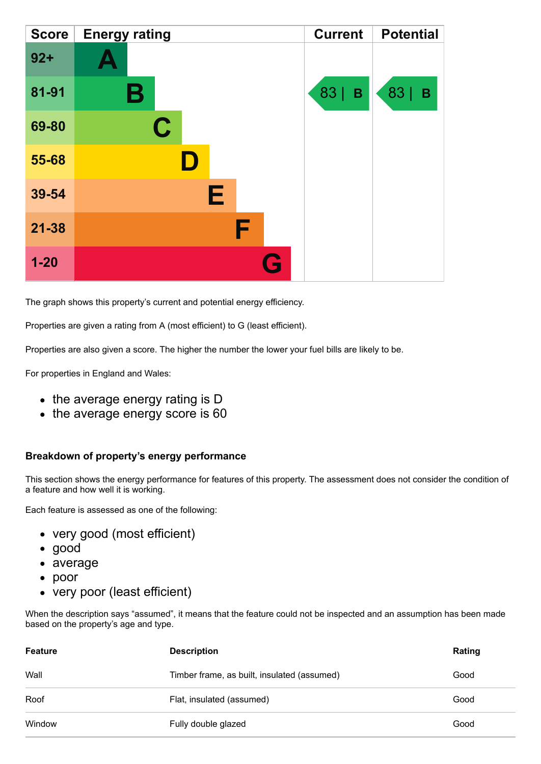| <b>Score</b> | <b>Energy rating</b> | <b>Current</b>    | <b>Potential</b>           |
|--------------|----------------------|-------------------|----------------------------|
| $92 +$       |                      |                   |                            |
| 81-91        | Β                    | 83<br>$\mathbf B$ | 83  <br>$\pmb{\mathsf{B}}$ |
| 69-80        | $\mathbf C$          |                   |                            |
| 55-68        |                      |                   |                            |
| 39-54        | Е                    |                   |                            |
| $21 - 38$    | F                    |                   |                            |
| $1-20$       | Q                    |                   |                            |

The graph shows this property's current and potential energy efficiency.

Properties are given a rating from A (most efficient) to G (least efficient).

Properties are also given a score. The higher the number the lower your fuel bills are likely to be.

For properties in England and Wales:

- the average energy rating is D
- the average energy score is 60

#### **Breakdown of property's energy performance**

This section shows the energy performance for features of this property. The assessment does not consider the condition of a feature and how well it is working.

Each feature is assessed as one of the following:

- very good (most efficient)
- good
- average
- poor
- very poor (least efficient)

When the description says "assumed", it means that the feature could not be inspected and an assumption has been made based on the property's age and type.

| <b>Feature</b> | <b>Description</b>                          | Rating |
|----------------|---------------------------------------------|--------|
| Wall           | Timber frame, as built, insulated (assumed) | Good   |
| Roof           | Flat, insulated (assumed)                   | Good   |
| Window         | Fully double glazed                         | Good   |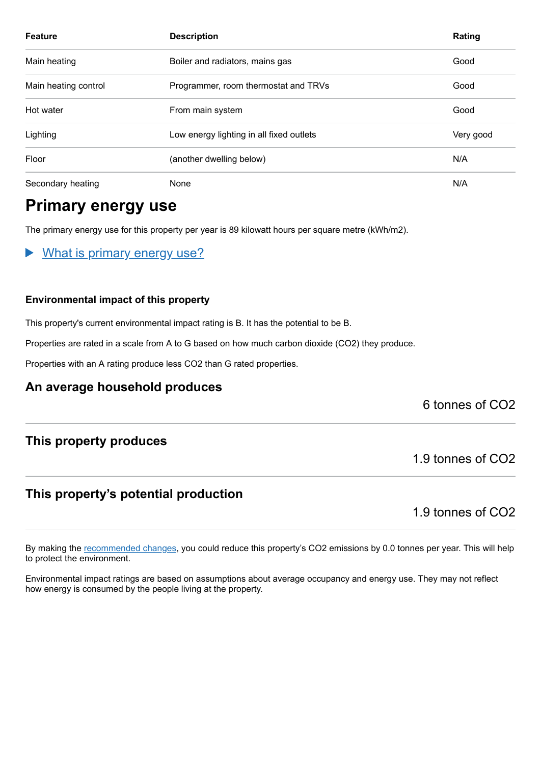| <b>Feature</b>       | <b>Description</b>                       | Rating    |
|----------------------|------------------------------------------|-----------|
| Main heating         | Boiler and radiators, mains gas          | Good      |
| Main heating control | Programmer, room thermostat and TRVs     | Good      |
| Hot water            | From main system                         | Good      |
| Lighting             | Low energy lighting in all fixed outlets | Very good |
| Floor                | (another dwelling below)                 | N/A       |
| Secondary heating    | None                                     | N/A       |

# **Primary energy use**

The primary energy use for this property per year is 89 kilowatt hours per square metre (kWh/m2).

What is primary energy use?  $\blacktriangleright$ 

#### **Environmental impact of this property**

This property's current environmental impact rating is B. It has the potential to be B.

Properties are rated in a scale from A to G based on how much carbon dioxide (CO2) they produce.

Properties with an A rating produce less CO2 than G rated properties.

### **An average household produces**

6 tonnes of CO2

### **This property produces**

### **This property's potential production**

1.9 tonnes of CO2

1.9 tonnes of CO2

By making the [recommended changes,](#page-3-0) you could reduce this property's CO2 emissions by 0.0 tonnes per year. This will help to protect the environment.

Environmental impact ratings are based on assumptions about average occupancy and energy use. They may not reflect how energy is consumed by the people living at the property.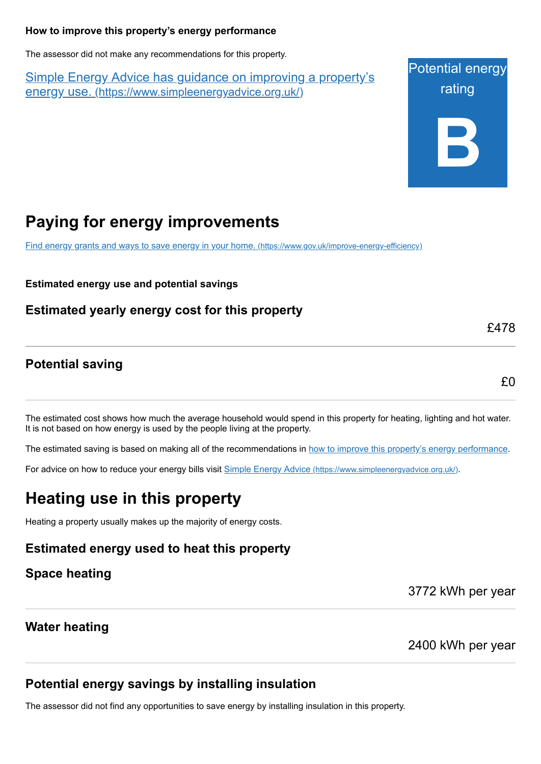#### <span id="page-3-0"></span>**How to improve this property's energy performance**

The assessor did not make any recommendations for this property.

Simple Energy Advice has guidance on improving a property's energy use. [\(https://www.simpleenergyadvice.org.uk/\)](https://www.simpleenergyadvice.org.uk/)

Potential energy rating **B**

# **Paying for energy improvements**

[Find energy grants and ways to save energy in your home.](https://www.gov.uk/improve-energy-efficiency) (https://www.gov.uk/improve-energy-efficiency)

**Estimated energy use and potential savings**

**Estimated yearly energy cost for this property**

### **Potential saving**

£0

£478

The estimated cost shows how much the average household would spend in this property for heating, lighting and hot water. It is not based on how energy is used by the people living at the property.

The estimated saving is based on making all of the recommendations in [how to improve this property's energy performance.](#page-3-0)

For advice on how to reduce your energy bills visit Simple Energy Advice [\(https://www.simpleenergyadvice.org.uk/\)](https://www.simpleenergyadvice.org.uk/).

# **Heating use in this property**

Heating a property usually makes up the majority of energy costs.

### **Estimated energy used to heat this property**

**Space heating**

3772 kWh per year

### **Water heating**

2400 kWh per year

### **Potential energy savings by installing insulation**

The assessor did not find any opportunities to save energy by installing insulation in this property.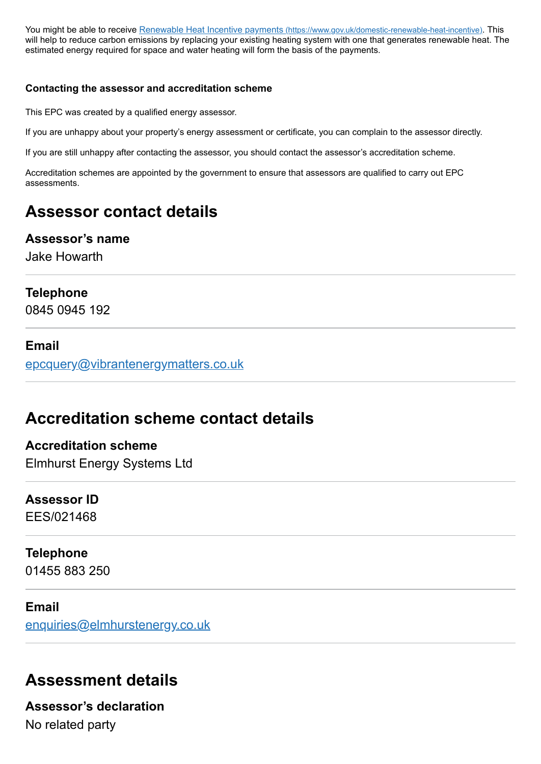You might be able to receive Renewable Heat Incentive payments [\(https://www.gov.uk/domestic-renewable-heat-incentive\)](https://www.gov.uk/domestic-renewable-heat-incentive). This will help to reduce carbon emissions by replacing your existing heating system with one that generates renewable heat. The estimated energy required for space and water heating will form the basis of the payments.

#### **Contacting the assessor and accreditation scheme**

This EPC was created by a qualified energy assessor.

If you are unhappy about your property's energy assessment or certificate, you can complain to the assessor directly.

If you are still unhappy after contacting the assessor, you should contact the assessor's accreditation scheme.

Accreditation schemes are appointed by the government to ensure that assessors are qualified to carry out EPC assessments.

# **Assessor contact details**

#### **Assessor's name**

Jake Howarth

### **Telephone**

0845 0945 192

### **Email**

[epcquery@vibrantenergymatters.co.uk](mailto:epcquery@vibrantenergymatters.co.uk)

# **Accreditation scheme contact details**

**Accreditation scheme** Elmhurst Energy Systems Ltd

# **Assessor ID**

EES/021468

# **Telephone**

01455 883 250

### **Email**

[enquiries@elmhurstenergy.co.uk](mailto:enquiries@elmhurstenergy.co.uk)

# **Assessment details**

**Assessor's declaration** No related party